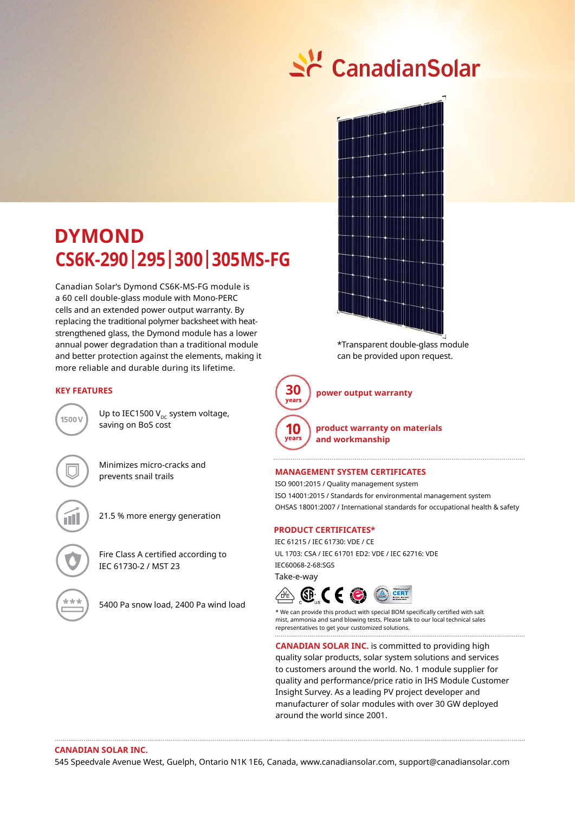# <u>수</u> CanadianSolar

# **DYMOND CS6K-290|295|300|305MS-FG**

Canadian Solar's Dymond CS6K-MS-FG module is a 60 cell double-glass module with Mono-PERC cells and an extended power output warranty. By replacing the traditional polymer backsheet with heatstrengthened glass, the Dymond module has a lower annual power degradation than a traditional module and better protection against the elements, making it more reliable and durable during its lifetime.

# **KEY FEATURES**



Up to IEC1500  $V_{\text{DC}}$  system voltage, saving on BoS cost

Minimizes micro-cracks and prevents snail trails

21.5 % more energy generation

Fire Class A certified according to IEC 61730-2 / MST 23

5400 Pa snow load, 2400 Pa wind load



\*Transparent double-glass module can be provided upon request.



**30 power output warranty**

**product warranty on materials and workmanship**

#### **Management System Certificates**

ISO 9001:2015 / Quality management system ISO 14001:2015 / Standards for environmental management system OHSAS 18001:2007 / International standards for occupational health & safety

# **PRODUCT CERTIFICATES\***

IEC 61215 / IEC 61730: VDE / CE UL 1703: CSA / IEC 61701 ED2: VDE / IEC 62716: VDE IEC60068-2-68:SGS Take-e-way



\* We can provide this product with special BOM specifically certified with salt mist, ammonia and sand blowing tests. Please talk to our local technical sales representatives to get your customized solutions.. . . . . . . . . . . . . . . . . .

**CANADIAN SOLAR INC.** is committed to providing high quality solar products, solar system solutions and services to customers around the world. No. 1 module supplier for quality and performance/price ratio in IHS Module Customer Insight Survey. As a leading PV project developer and manufacturer of solar modules with over 30 GW deployed around the world since 2001.

#### **Canadian Solar Inc.**

545 Speedvale Avenue West, Guelph, Ontario N1K 1E6, Canada, www.canadiansolar.com, support@canadiansolar.com